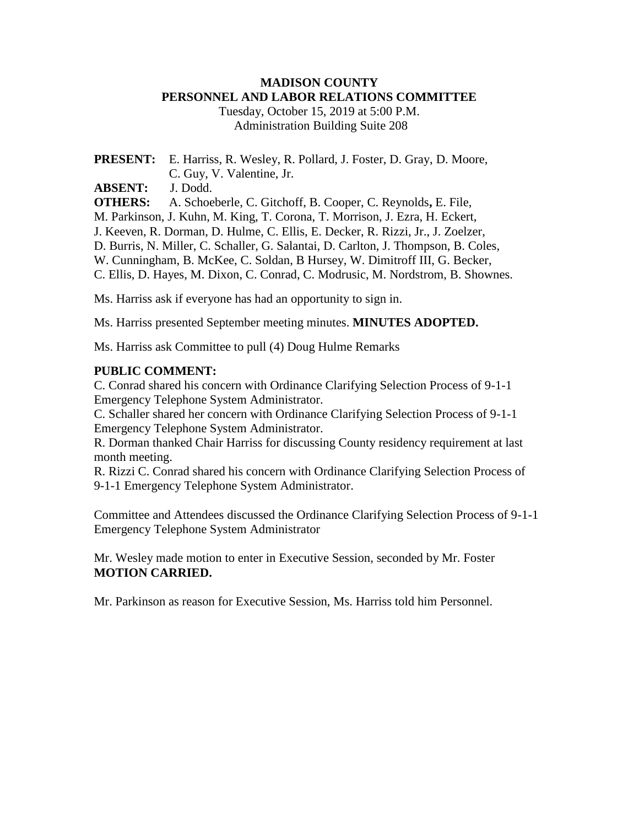# **MADISON COUNTY PERSONNEL AND LABOR RELATIONS COMMITTEE**

Tuesday, October 15, 2019 at 5:00 P.M. Administration Building Suite 208

**PRESENT:** E. Harriss, R. Wesley, R. Pollard, J. Foster, D. Gray, D. Moore, C. Guy, V. Valentine, Jr.

**ABSENT:** J. Dodd.

**OTHERS:** A. Schoeberle, C. Gitchoff, B. Cooper, C. Reynolds**,** E. File, M. Parkinson, J. Kuhn, M. King, T. Corona, T. Morrison, J. Ezra, H. Eckert, J. Keeven, R. Dorman, D. Hulme, C. Ellis, E. Decker, R. Rizzi, Jr., J. Zoelzer, D. Burris, N. Miller, C. Schaller, G. Salantai, D. Carlton, J. Thompson, B. Coles, W. Cunningham, B. McKee, C. Soldan, B Hursey, W. Dimitroff III, G. Becker, C. Ellis, D. Hayes, M. Dixon, C. Conrad, C. Modrusic, M. Nordstrom, B. Shownes.

Ms. Harriss ask if everyone has had an opportunity to sign in.

Ms. Harriss presented September meeting minutes. **MINUTES ADOPTED.**

Ms. Harriss ask Committee to pull (4) Doug Hulme Remarks

# **PUBLIC COMMENT:**

C. Conrad shared his concern with Ordinance Clarifying Selection Process of 9-1-1 Emergency Telephone System Administrator.

C. Schaller shared her concern with Ordinance Clarifying Selection Process of 9-1-1 Emergency Telephone System Administrator.

R. Dorman thanked Chair Harriss for discussing County residency requirement at last month meeting.

R. Rizzi C. Conrad shared his concern with Ordinance Clarifying Selection Process of 9-1-1 Emergency Telephone System Administrator.

Committee and Attendees discussed the Ordinance Clarifying Selection Process of 9-1-1 Emergency Telephone System Administrator

Mr. Wesley made motion to enter in Executive Session, seconded by Mr. Foster **MOTION CARRIED.**

Mr. Parkinson as reason for Executive Session, Ms. Harriss told him Personnel.